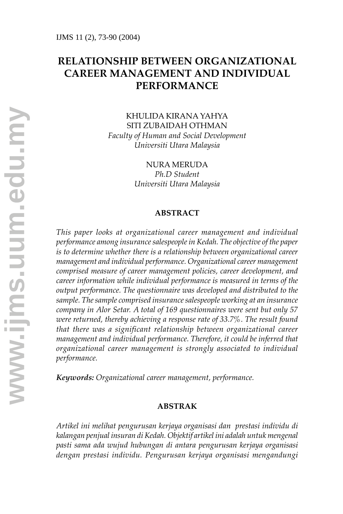# **RELATIONSHIP BETWEEN ORGANIZATIONAL CAREER MANAGEMENT AND INDIVIDUAL PERFORMANCE**

KHULIDA KIRANA YAHYA SITI ZUBAIDAH OTHMAN *Faculty of Human and Social Development Universiti Utara Malaysia*

> NURA MERUDA *Ph.D Student Universiti Utara Malaysia*

#### **ABSTRACT**

*This paper looks at organizational career management and individual performance among insurance salespeople in Kedah. The objective of the paper is to determine whether there is a relationship between organizational career management and individual performance. Organizational career management comprised measure of career management policies, career development, and career information while individual performance is measured in terms of the output performance. The questionnaire was developed and distributed to the sample. The sample comprised insurance salespeople working at an insurance company in Alor Setar. A total of 169 questionnaires were sent but only 57 were returned, thereby achieving a response rate of 33.7%. The result found that there was a significant relationship between organizational career management and individual performance. Therefore, it could be inferred that organizational career management is strongly associated to individual performance.*

*Keywords: Organizational career management, performance.*

#### **ABSTRAK**

*Artikel ini melihat pengurusan kerjaya organisasi dan prestasi individu di kalangan penjual insuran di Kedah. Objektif artikel ini adalah untuk mengenal pasti sama ada wujud hubungan di antara pengurusan kerjaya organisasi dengan prestasi individu. Pengurusan kerjaya organisasi mengandungi*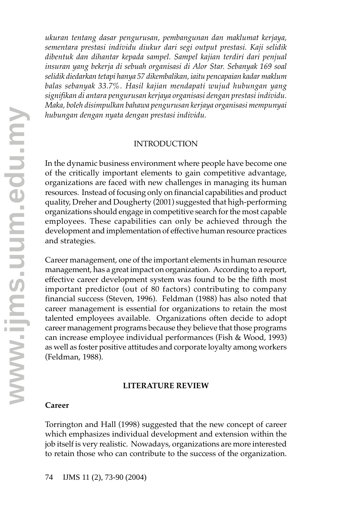*ukuran tentang dasar pengurusan, pembangunan dan maklumat kerjaya, sementara prestasi individu diukur dari segi output prestasi. Kaji selidik dibentuk dan dihantar kepada sampel. Sampel kajian terdiri dari penjual insuran yang bekerja di sebuah organisasi di Alor Star. Sebanyak 169 soal selidik diedarkan tetapi hanya 57 dikembalikan, iaitu pencapaian kadar maklum balas sebanyak 33.7%. Hasil kajian mendapati wujud hubungan yang signifikan di antara pengurusan kerjaya organisasi dengan prestasi individu. Maka, boleh disimpulkan bahawa pengurusan kerjaya organisasi mempunyai hubungan dengan nyata dengan prestasi individu.*

#### INTRODUCTION

In the dynamic business environment where people have become one of the critically important elements to gain competitive advantage, organizations are faced with new challenges in managing its human resources. Instead of focusing only on financial capabilities and product quality, Dreher and Dougherty (2001) suggested that high-performing organizations should engage in competitive search for the most capable employees. These capabilities can only be achieved through the development and implementation of effective human resource practices and strategies.

Career management, one of the important elements in human resource management, has a great impact on organization. According to a report, effective career development system was found to be the fifth most important predictor (out of 80 factors) contributing to company financial success (Steven, 1996). Feldman (1988) has also noted that career management is essential for organizations to retain the most talented employees available. Organizations often decide to adopt career management programs because they believe that those programs can increase employee individual performances (Fish & Wood, 1993) as well as foster positive attitudes and corporate loyalty among workers (Feldman, 1988).

#### **LITERATURE REVIEW**

#### **Career**

Torrington and Hall (1998) suggested that the new concept of career which emphasizes individual development and extension within the job itself is very realistic. Nowadays, organizations are more interested to retain those who can contribute to the success of the organization.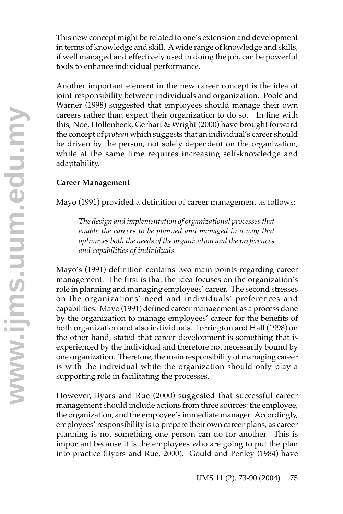This new concept might be related to one's extension and development in terms of knowledge and skill. A wide range of knowledge and skills, if well managed and effectively used in doing the job, can be powerful tools to enhance individual performance.

Another important element in the new career concept is the idea of joint-responsibility between individuals and organization. Poole and Warner (1998) suggested that employees should manage their own careers rather than expect their organization to do so. In line with this, Noe, Hollenbeck, Gerhart & Wright (2000) have brought forward the concept of *protean* which suggests that an individual's career should be driven by the person, not solely dependent on the organization, while at the same time requires increasing self-knowledge and adaptability.

## **Career Management**

Mayo (1991) provided a definition of career management as follows:

*The design and implementation of organizational processes that enable the careers to be planned and managed in a way that optimizes both the needs of the organization and the preferences and capabilities of individuals.*

Mayo's (1991) definition contains two main points regarding career management. The first is that the idea focuses on the organization's role in planning and managing employees' career. The second stresses on the organizations' need and individuals' preferences and capabilities. Mayo (1991) defined career management as a process done by the organization to manage employees' career for the benefits of both organization and also individuals. Torrington and Hall (1998) on the other hand, stated that career development is something that is experienced by the individual and therefore not necessarily bound by one organization. Therefore, the main responsibility of managing career is with the individual while the organization should only play a supporting role in facilitating the processes.

However, Byars and Rue (2000) suggested that successful career management should include actions from three sources: the employee, the organization, and the employee's immediate manager. Accordingly, employees' responsibility is to prepare their own career plans, as career planning is not something one person can do for another. This is important because it is the employees who are going to put the plan into practice (Byars and Rue, 2000). Gould and Penley (1984) have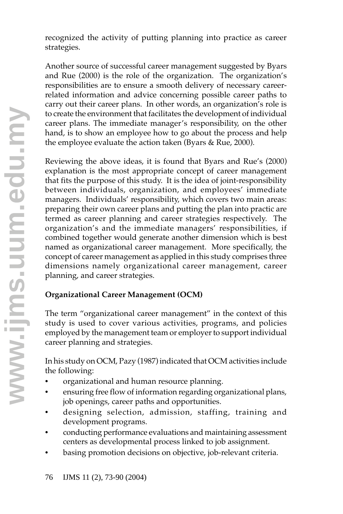recognized the activity of putting planning into practice as career strategies.

Another source of successful career management suggested by Byars and Rue (2000) is the role of the organization. The organization's responsibilities are to ensure a smooth delivery of necessary careerrelated information and advice concerning possible career paths to carry out their career plans. In other words, an organization's role is to create the environment that facilitates the development of individual career plans. The immediate manager's responsibility, on the other hand, is to show an employee how to go about the process and help the employee evaluate the action taken (Byars & Rue, 2000).

Reviewing the above ideas, it is found that Byars and Rue's (2000) explanation is the most appropriate concept of career management that fits the purpose of this study. It is the idea of joint-responsibility between individuals, organization, and employees' immediate managers. Individuals' responsibility, which covers two main areas: preparing their own career plans and putting the plan into practic are termed as career planning and career strategies respectively. The organization's and the immediate managers' responsibilities, if combined together would generate another dimension which is best named as organizational career management. More specifically, the concept of career management as applied in this study comprises three dimensions namely organizational career management, career planning, and career strategies.

## **Organizational Career Management (OCM)**

The term "organizational career management" in the context of this study is used to cover various activities, programs, and policies employed by the management team or employer to support individual career planning and strategies.

In his study on OCM, Pazy (1987) indicated that OCM activities include the following:

- organizational and human resource planning.
- ensuring free flow of information regarding organizational plans, job openings, career paths and opportunities.
- designing selection, admission, staffing, training and development programs.
- conducting performance evaluations and maintaining assessment centers as developmental process linked to job assignment.
- basing promotion decisions on objective, job-relevant criteria.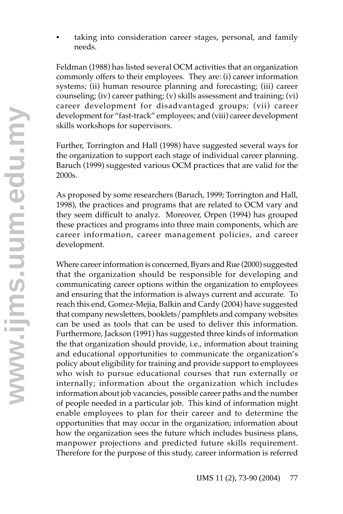taking into consideration career stages, personal, and family needs.

Feldman (1988) has listed several OCM activities that an organization commonly offers to their employees. They are: (i) career information systems; (ii) human resource planning and forecasting; (iii) career counseling; (iv) career pathing; (v) skills assessment and training; (vi) career development for disadvantaged groups; (vii) career development for "fast-track" employees; and (viii) career development skills workshops for supervisors.

Further, Torrington and Hall (1998) have suggested several ways for the organization to support each stage of individual career planning. Baruch (1999) suggested various OCM practices that are valid for the 2000s.

As proposed by some researchers (Baruch, 1999; Torrington and Hall, 1998), the practices and programs that are related to OCM vary and they seem difficult to analyz. Moreover, Orpen (1994) has grouped these practices and programs into three main components, which are career information, career management policies, and career development.

Where career information is concerned, Byars and Rue (2000) suggested that the organization should be responsible for developing and communicating career options within the organization to employees and ensuring that the information is always current and accurate. To reach this end, Gomez-Mejia, Balkin and Cardy (2004) have suggested that company newsletters, booklets/pamphlets and company websites can be used as tools that can be used to deliver this information. Furthermore, Jackson (1991) has suggested three kinds of information the that organization should provide, i.e., information about training and educational opportunities to communicate the organization's policy about eligibility for training and provide support to employees who wish to pursue educational courses that run externally or internally; information about the organization which includes information about job vacancies, possible career paths and the number of people needed in a particular job. This kind of information might enable employees to plan for their career and to determine the opportunities that may occur in the organization; information about how the organization sees the future which includes business plans, manpower projections and predicted future skills requirement. Therefore for the purpose of this study, career information is referred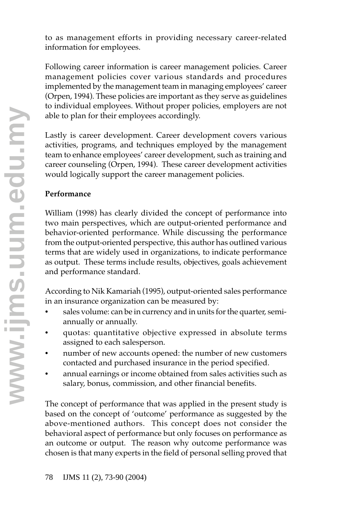to as management efforts in providing necessary career-related information for employees.

Following career information is career management policies. Career management policies cover various standards and procedures implemented by the management team in managing employees' career (Orpen, 1994). These policies are important as they serve as guidelines to individual employees. Without proper policies, employers are not able to plan for their employees accordingly.

Lastly is career development. Career development covers various activities, programs, and techniques employed by the management team to enhance employees' career development, such as training and career counseling (Orpen, 1994). These career development activities would logically support the career management policies.

## **Performance**

William (1998) has clearly divided the concept of performance into two main perspectives, which are output-oriented performance and behavior-oriented performance. While discussing the performance from the output-oriented perspective, this author has outlined various terms that are widely used in organizations, to indicate performance as output. These terms include results, objectives, goals achievement and performance standard.

According to Nik Kamariah (1995), output-oriented sales performance in an insurance organization can be measured by:

- sales volume: can be in currency and in units for the quarter, semiannually or annually.
- quotas: quantitative objective expressed in absolute terms assigned to each salesperson.
- number of new accounts opened: the number of new customers contacted and purchased insurance in the period specified.
- annual earnings or income obtained from sales activities such as salary, bonus, commission, and other financial benefits.

The concept of performance that was applied in the present study is based on the concept of 'outcome' performance as suggested by the above-mentioned authors. This concept does not consider the behavioral aspect of performance but only focuses on performance as an outcome or output. The reason why outcome performance was chosen is that many experts in the field of personal selling proved that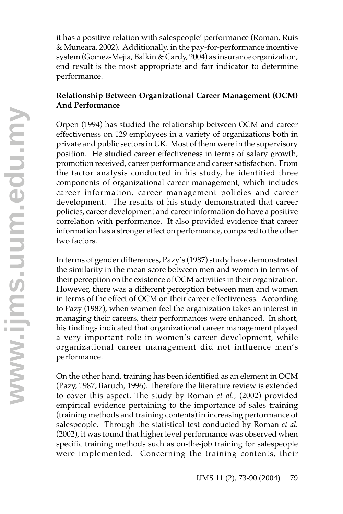it has a positive relation with salespeople' performance (Roman, Ruis & Muneara, 2002). Additionally, in the pay-for-performance incentive system (Gomez-Mejia, Balkin & Cardy, 2004) as insurance organization, end result is the most appropriate and fair indicator to determine performance.

## **Relationship Between Organizational Career Management (OCM) And Performance**

Orpen (1994) has studied the relationship between OCM and career effectiveness on 129 employees in a variety of organizations both in private and public sectors in UK. Most of them were in the supervisory position. He studied career effectiveness in terms of salary growth, promotion received, career performance and career satisfaction. From the factor analysis conducted in his study, he identified three components of organizational career management, which includes career information, career management policies and career development. The results of his study demonstrated that career policies, career development and career information do have a positive correlation with performance. It also provided evidence that career information has a stronger effect on performance, compared to the other two factors.

In terms of gender differences, Pazy's (1987) study have demonstrated the similarity in the mean score between men and women in terms of their perception on the existence of OCM activities in their organization. However, there was a different perception between men and women in terms of the effect of OCM on their career effectiveness. According to Pazy (1987), when women feel the organization takes an interest in managing their careers, their performances were enhanced. In short, his findings indicated that organizational career management played a very important role in women's career development, while organizational career management did not influence men's performance.

On the other hand, training has been identified as an element in OCM (Pazy, 1987; Baruch, 1996). Therefore the literature review is extended to cover this aspect. The study by Roman *et al.,* (2002) provided empirical evidence pertaining to the importance of sales training (training methods and training contents) in increasing performance of salespeople. Through the statistical test conducted by Roman *et al.* (2002), it was found that higher level performance was observed when specific training methods such as on-the-job training for salespeople were implemented. Concerning the training contents, their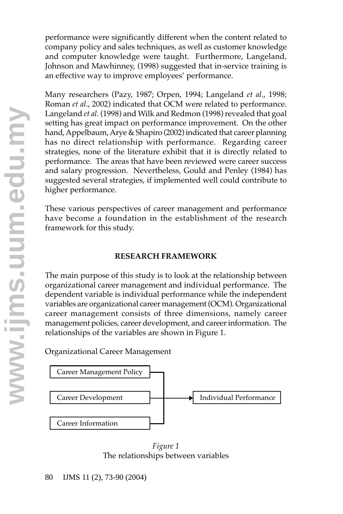performance were significantly different when the content related to company policy and sales techniques, as well as customer knowledge and computer knowledge were taught. Furthermore, Langeland, Johnson and Mawhinney, (1998) suggested that in-service training is an effective way to improve employees' performance.

Many researchers (Pazy, 1987; Orpen, 1994; Langeland *et al*., 1998; Roman *et al*., 2002) indicated that OCM were related to performance. Langeland *et al*. (1998) and Wilk and Redmon (1998) revealed that goal setting has great impact on performance improvement. On the other hand, Appelbaum, Arye & Shapiro (2002) indicated that career planning has no direct relationship with performance. Regarding career strategies, none of the literature exhibit that it is directly related to performance. The areas that have been reviewed were career success and salary progression. Nevertheless, Gould and Penley (1984) has suggested several strategies, if implemented well could contribute to higher performance.

These various perspectives of career management and performance have become a foundation in the establishment of the research framework for this study.

#### **RESEARCH FRAMEWORK**

The main purpose of this study is to look at the relationship between organizational career management and individual performance. The dependent variable is individual performance while the independent variables are organizational career management (OCM). Organizational career management consists of three dimensions, namely career management policies, career development, and career information. The relationships of the variables are shown in Figure 1.

Organizational Career Management



*Figure 1* The relationships between variables

80 IJMS 11 (2), 73-90 (2004)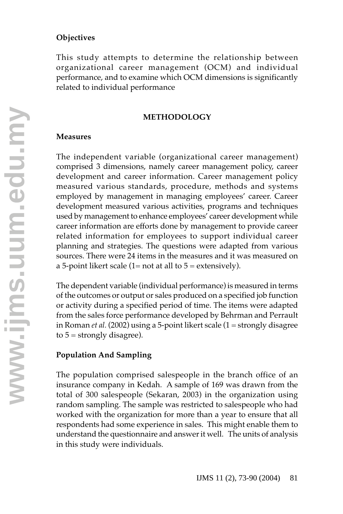### **Objectives**

This study attempts to determine the relationship between organizational career management (OCM) and individual performance, and to examine which OCM dimensions is significantly related to individual performance

#### **METHODOLOGY**

#### **Measures**

The independent variable (organizational career management) comprised 3 dimensions, namely career management policy, career development and career information. Career management policy measured various standards, procedure, methods and systems employed by management in managing employees' career. Career development measured various activities, programs and techniques used by management to enhance employees' career development while career information are efforts done by management to provide career related information for employees to support individual career planning and strategies. The questions were adapted from various sources. There were 24 items in the measures and it was measured on a 5-point likert scale  $(1=$  not at all to  $5 =$  extensively).

The dependent variable (individual performance) is measured in terms of the outcomes or output or sales produced on a specified job function or activity during a specified period of time. The items were adapted from the sales force performance developed by Behrman and Perrault in Roman *et al.* (2002) using a 5-point likert scale (1 = strongly disagree to  $5 =$  strongly disagree).

### **Population And Sampling**

The population comprised salespeople in the branch office of an insurance company in Kedah. A sample of 169 was drawn from the total of 300 salespeople (Sekaran, 2003) in the organization using random sampling. The sample was restricted to salespeople who had worked with the organization for more than a year to ensure that all respondents had some experience in sales. This might enable them to understand the questionnaire and answer it well. The units of analysis in this study were individuals.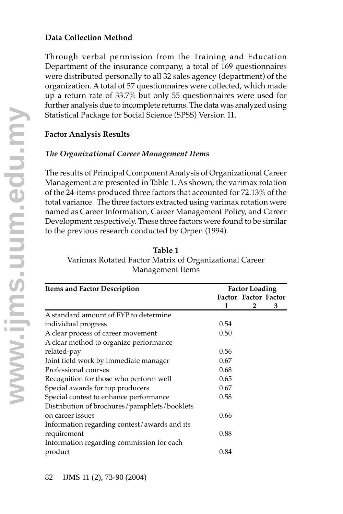## **Data Collection Method**

Through verbal permission from the Training and Education Department of the insurance company, a total of 169 questionnaires were distributed personally to all 32 sales agency (department) of the organization. A total of 57 questionnaires were collected, which made up a return rate of 33.7% but only 55 questionnaires were used for further analysis due to incomplete returns. The data was analyzed using Statistical Package for Social Science (SPSS) Version 11.

### **Factor Analysis Results**

### *The Organizational Career Management Items*

The results of Principal Component Analysis of Organizational Career Management are presented in Table 1. As shown, the varimax rotation of the 24-items produced three factors that accounted for 72.13% of the total variance. The three factors extracted using varimax rotation were named as Career Information, Career Management Policy, and Career Development respectively. These three factors were found to be similar to the previous research conducted by Orpen (1994).

| <b>Items and Factor Description</b>          | <b>Factor Loading</b> |                             |   |  |
|----------------------------------------------|-----------------------|-----------------------------|---|--|
|                                              |                       | <b>Factor Factor Factor</b> |   |  |
|                                              | 1                     | 2                           | з |  |
| A standard amount of FYP to determine        |                       |                             |   |  |
| individual progress                          | 0.54                  |                             |   |  |
| A clear process of career movement           | 0.50                  |                             |   |  |
| A clear method to organize performance       |                       |                             |   |  |
| related-pay                                  | 0.56                  |                             |   |  |
| Joint field work by immediate manager        | 0.67                  |                             |   |  |
| Professional courses                         | 0.68                  |                             |   |  |
| Recognition for those who perform well       | 0.65                  |                             |   |  |
| Special awards for top producers             | 0.67                  |                             |   |  |
| Special contest to enhance performance       | 0.58                  |                             |   |  |
| Distribution of brochures/pamphlets/booklets |                       |                             |   |  |
| on career issues                             | 0.66                  |                             |   |  |
| Information regarding contest/awards and its |                       |                             |   |  |
| requirement                                  | 0.88                  |                             |   |  |
| Information regarding commission for each    |                       |                             |   |  |
| product                                      | 0.84                  |                             |   |  |

**Table 1** Varimax Rotated Factor Matrix of Organizational Career Management Items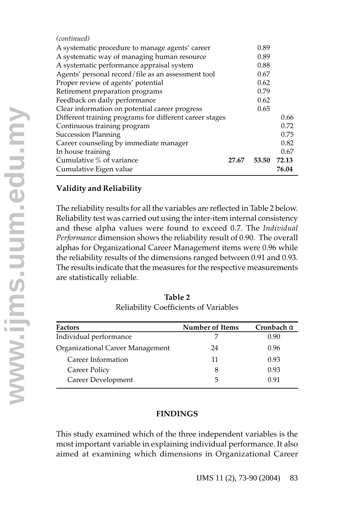| (continued)                                             |       |       |       |
|---------------------------------------------------------|-------|-------|-------|
| A systematic procedure to manage agents' career         |       | 0.89  |       |
| A systematic way of managing human resource             |       | 0.89  |       |
| A systematic performance appraisal system               |       | 0.88  |       |
| Agents' personal record/file as an assessment tool      |       | 0.67  |       |
| Proper review of agents' potential                      |       | 0.62  |       |
| Retirement preparation programs                         |       | 0.79  |       |
| Feedback on daily performance                           |       | 0.62  |       |
| Clear information on potential career progress          |       | 0.65  |       |
| Different training programs for different career stages |       |       | 0.66  |
| Continuous training program                             |       |       | 0.72  |
| <b>Succession Planning</b>                              |       |       | 0.75  |
| Career counseling by immediate manager                  |       |       | 0.82  |
| In house training                                       |       |       | 0.67  |
| Cumulative % of variance                                | 27.67 | 53.50 | 72.13 |
| Cumulative Eigen value                                  |       |       | 76.04 |

## **Validity and Reliability**

The reliability results for all the variables are reflected in Table 2 below. Reliability test was carried out using the inter-item internal consistency and these alpha values were found to exceed 0.7. The *Individual Performance* dimension shows the reliability result of 0.90. The overall alphas for Organizational Career Management items were 0.96 while the reliability results of the dimensions ranged between 0.91 and 0.93. The results indicate that the measures for the respective measurements are statistically reliable.

| <b>Factors</b>                   | <b>Number of Items</b> | Cronbach $\alpha$ |
|----------------------------------|------------------------|-------------------|
| Individual performance           |                        | 0.90              |
| Organizational Career Management | 24                     | 0.96              |
| Career Information               | 11                     | 0.93              |
| Career Policy                    | 8                      | 0.93              |
| Career Development               | 5                      | 0.91              |

**Table 2** Reliability Coefficients of Variables

## **FINDINGS**

This study examined which of the three independent variables is the most important variable in explaining individual performance. It also aimed at examining which dimensions in Organizational Career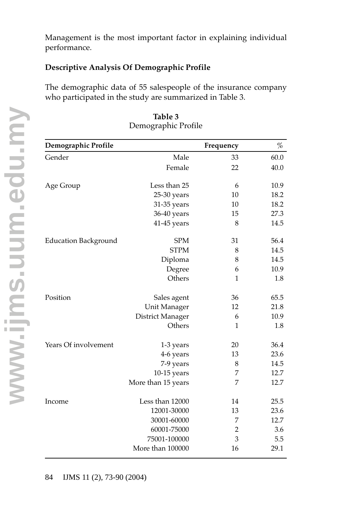Management is the most important factor in explaining individual performance.

### **Descriptive Analysis Of Demographic Profile**

The demographic data of 55 salespeople of the insurance company who participated in the study are summarized in Table 3.

| Demographic Profile  |                    | Frequency      | %    |
|----------------------|--------------------|----------------|------|
| Gender               | Male               | 33             | 60.0 |
|                      | Female             | 22             | 40.0 |
| Age Group            | Less than 25       | 6              | 10.9 |
|                      | 25-30 years        | 10             | 18.2 |
|                      | 31-35 years        | 10             | 18.2 |
|                      | 36-40 years        | 15             | 27.3 |
|                      | 41-45 years        | 8              | 14.5 |
| Education Background | <b>SPM</b>         | 31             | 56.4 |
|                      | <b>STPM</b>        | 8              | 14.5 |
|                      | Diploma            | 8              | 14.5 |
|                      | Degree             | 6              | 10.9 |
|                      | Others             | 1              | 1.8  |
| Position             | Sales agent        | 36             | 65.5 |
|                      | Unit Manager       | 12             | 21.8 |
|                      | District Manager   | 6              | 10.9 |
|                      | Others             | $\mathbf{1}$   | 1.8  |
| Years Of involvement | 1-3 years          | 20             | 36.4 |
|                      | 4-6 years          | 13             | 23.6 |
|                      | 7-9 years          | 8              | 14.5 |
|                      | $10-15$ years      | 7              | 12.7 |
|                      | More than 15 years | 7              | 12.7 |
| Income               | Less than 12000    | 14             | 25.5 |
|                      | 12001-30000        | 13             | 23.6 |
|                      | 30001-60000        | 7              | 12.7 |
|                      | 60001-75000        | $\overline{2}$ | 3.6  |
|                      | 75001-100000       | 3              | 5.5  |
|                      | More than 100000   | 16             | 29.1 |

### **Table 3** Demographic Profile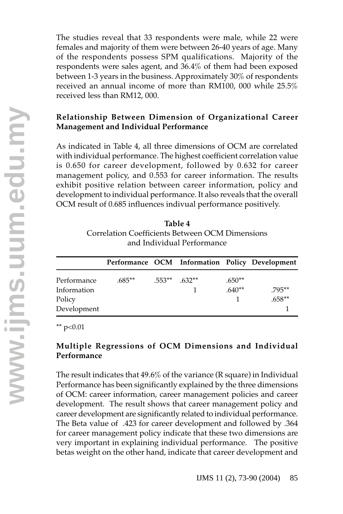The studies reveal that 33 respondents were male, while 22 were females and majority of them were between 26-40 years of age. Many of the respondents possess SPM qualifications. Majority of the respondents were sales agent, and 36.4% of them had been exposed between 1-3 years in the business. Approximately 30% of respondents received an annual income of more than RM100, 000 while 25.5% received less than RM12, 000.

## **Relationship Between Dimension of Organizational Career Management and Individual Performance**

As indicated in Table 4, all three dimensions of OCM are correlated with individual performance. The highest coefficient correlation value is 0.650 for career development, followed by 0.632 for career management policy, and 0.553 for career information. The results exhibit positive relation between career information, policy and development to individual performance. It also reveals that the overall OCM result of 0.685 influences indivual performance positively.

| Table 4                                         |
|-------------------------------------------------|
| Correlation Coefficients Between OCM Dimensions |
| and Individual Performance                      |

|             |           |                |          | Performance OCM Information Policy Development |
|-------------|-----------|----------------|----------|------------------------------------------------|
| Performance | $.685***$ | $.553**$ 632** | $.650**$ |                                                |
| Information |           |                | $.640**$ | $.795***$                                      |
| Policy      |           |                |          | $.658**$                                       |
| Development |           |                |          |                                                |

\*\*  $p<0.01$ 

### **Multiple Regressions of OCM Dimensions and Individual Performance**

The result indicates that 49.6% of the variance (R square) in Individual Performance has been significantly explained by the three dimensions of OCM: career information, career management policies and career development. The result shows that career management policy and career development are significantly related to individual performance. The Beta value of .423 for career development and followed by .364 for career management policy indicate that these two dimensions are very important in explaining individual performance. The positive betas weight on the other hand, indicate that career development and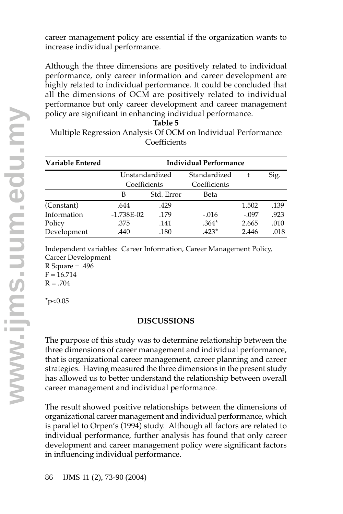career management policy are essential if the organization wants to increase individual performance.

Although the three dimensions are positively related to individual performance, only career information and career development are highly related to individual performance. It could be concluded that all the dimensions of OCM are positively related to individual performance but only career development and career management policy are significant in enhancing individual performance.

| Table 5 |  |
|---------|--|
|         |  |

Multiple Regression Analysis Of OCM on Individual Performance Coefficients

| Variable Entered | Individual Performance         |            |              |         |      |
|------------------|--------------------------------|------------|--------------|---------|------|
|                  | Unstandardized<br>Coefficients |            | Standardized |         | Sig. |
|                  |                                |            | Coefficients |         |      |
|                  | В                              | Std. Error | Beta         |         |      |
| (Constant)       | .644                           | .429       |              | 1.502   | .139 |
| Information      | $-1.738E-02$                   | .179       | $-.016$      | $-.097$ | .923 |
| Policy           | .375                           | .141       | $.364*$      | 2.665   | .010 |
| Development      | .440                           | .180       | $.423*$      | 2.446   | .018 |

Independent variables: Career Information, Career Management Policy, Career Development

 $R$  Square = .496  $F = 16.714$  $R = .704$ 

 $*_{p<0.05}$ 

### **DISCUSSIONS**

The purpose of this study was to determine relationship between the three dimensions of career management and individual performance, that is organizational career management, career planning and career strategies. Having measured the three dimensions in the present study has allowed us to better understand the relationship between overall career management and individual performance.

The result showed positive relationships between the dimensions of organizational career management and individual performance, which is parallel to Orpen's (1994) study. Although all factors are related to individual performance, further analysis has found that only career development and career management policy were significant factors in influencing individual performance.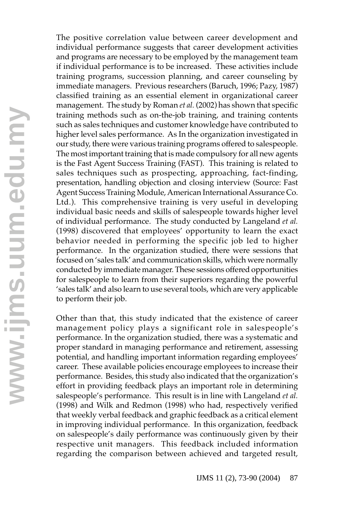The positive correlation value between career development and individual performance suggests that career development activities and programs are necessary to be employed by the management team if individual performance is to be increased. These activities include training programs, succession planning, and career counseling by immediate managers. Previous researchers (Baruch, 1996; Pazy, 1987) classified training as an essential element in organizational career management. The study by Roman *et al.* (2002) has shown that specific training methods such as on-the-job training, and training contents such as sales techniques and customer knowledge have contributed to higher level sales performance. As In the organization investigated in our study, there were various training programs offered to salespeople. The most important training that is made compulsory for all new agents is the Fast Agent Success Training (FAST). This training is related to sales techniques such as prospecting, approaching, fact-finding, presentation, handling objection and closing interview (Source: Fast Agent Success Training Module, American International Assurance Co. Ltd.). This comprehensive training is very useful in developing individual basic needs and skills of salespeople towards higher level of individual performance. The study conducted by Langeland *et al.* (1998) discovered that employees' opportunity to learn the exact behavior needed in performing the specific job led to higher performance. In the organization studied, there were sessions that focused on 'sales talk' and communication skills, which were normally conducted by immediate manager. These sessions offered opportunities for salespeople to learn from their superiors regarding the powerful 'sales talk' and also learn to use several tools, which are very applicable to perform their job.

Other than that, this study indicated that the existence of career management policy plays a significant role in salespeople's performance. In the organization studied, there was a systematic and proper standard in managing performance and retirement, assessing potential, and handling important information regarding employees' career. These available policies encourage employees to increase their performance. Besides, this study also indicated that the organization's effort in providing feedback plays an important role in determining salespeople's performance. This result is in line with Langeland *et al.* (1998) and Wilk and Redmon (1998) who had, respectively verified that weekly verbal feedback and graphic feedback as a critical element in improving individual performance. In this organization, feedback on salespeople's daily performance was continuously given by their respective unit managers. This feedback included information regarding the comparison between achieved and targeted result,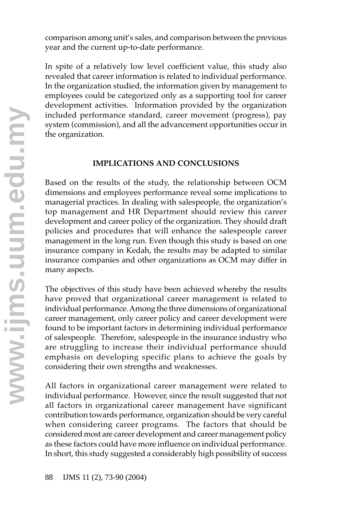comparison among unit's sales, and comparison between the previous year and the current up-to-date performance.

In spite of a relatively low level coefficient value, this study also revealed that career information is related to individual performance. In the organization studied, the information given by management to employees could be categorized only as a supporting tool for career development activities. Information provided by the organization included performance standard, career movement (progress), pay system (commission), and all the advancement opportunities occur in the organization.

### **IMPLICATIONS AND CONCLUSIONS**

Based on the results of the study, the relationship between OCM dimensions and employees performance reveal some implications to managerial practices. In dealing with salespeople, the organization's top management and HR Department should review this career development and career policy of the organization. They should draft policies and procedures that will enhance the salespeople career management in the long run. Even though this study is based on one insurance company in Kedah, the results may be adapted to similar insurance companies and other organizations as OCM may differ in many aspects.

The objectives of this study have been achieved whereby the results have proved that organizational career management is related to individual performance. Among the three dimensions of organizational career management, only career policy and career development were found to be important factors in determining individual performance of salespeople. Therefore, salespeople in the insurance industry who are struggling to increase their individual performance should emphasis on developing specific plans to achieve the goals by considering their own strengths and weaknesses.

All factors in organizational career management were related to individual performance. However, since the result suggested that not all factors in organizational career management have significant contribution towards performance, organization should be very careful when considering career programs. The factors that should be considered most are career development and career management policy as these factors could have more influence on individual performance. In short, this study suggested a considerably high possibility of success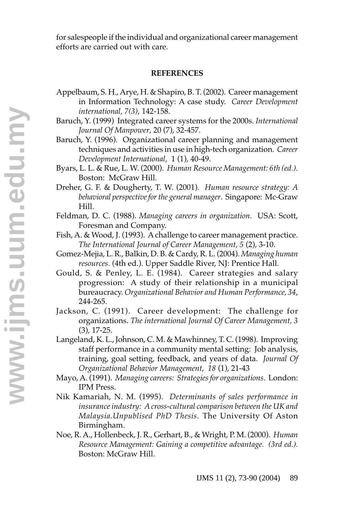for salespeople if the individual and organizational career management efforts are carried out with care.

#### **REFERENCES**

- Appelbaum, S. H., Arye, H. & Shapiro, B. T. (2002). Career management in Information Technology: A case study. *Career Development international, 7(3)*, 142-158.
- Baruch, Y. (1999) Integrated career systems for the 2000s. *International Journal Of Manpower*, 20 (7), 32-457.
- Baruch, Y. (1996). Organizational career planning and management techniques and activities in use in high-tech organization. *Career Development International,* 1 (1), 40-49.
- Byars, L. L. & Rue, L. W. (2000). *Human Resource Management: 6th (ed.).* Boston: McGraw Hill.
- Dreher, G. F. & Dougherty, T. W. (2001). *Human resource strategy: A behavioral perspective for the general manager*. Singapore: Mc-Graw Hill.
- Feldman, D. C. (1988). *Managing careers in organization*. USA: Scott, Foresman and Company.
- Fish, A. & Wood, J. (1993). A challenge to career management practice. *The International Journal of Career Management, 5* (2), 3-10.
- Gomez-Mejia, L. R., Balkin, D. B. & Cardy, R. L. (2004). *Managing human resources*. (4th ed.). Upper Saddle River, NJ: Prentice Hall.
- Gould, S. & Penley, L. E. (1984). Career strategies and salary progression: A study of their relationship in a municipal bureaucracy. *Organizational Behavior and Human Performance, 34*, 244-265.
- Jackson, C. (1991). Career development: The challenge for organizations. *The international Journal Of Career Management, 3* (3), 17-25.
- Langeland, K. L., Johnson, C. M. & Mawhinney, T. C. (1998). Improving staff performance in a community mental setting: Job analysis, training, goal setting, feedback, and years of data. *Journal Of Organizational Behavior Management, 18* (1), 21-43
- Mayo, A. (1991). *Managing careers: Strategies for organizations*. London: IPM Press.
- Nik Kamariah, N. M. (1995). *Determinants of sales performance in insurance industry: A cross-cultural comparison between the UK and Malaysia.Unpublised PhD Thesis.* The University Of Aston Birmingham.
- Noe, R. A., Hollenbeck, J. R., Gerhart, B., & Wright, P. M. (2000). *Human Resource Management: Gaining a competitive advantage. (3rd ed.).* Boston: McGraw Hill.